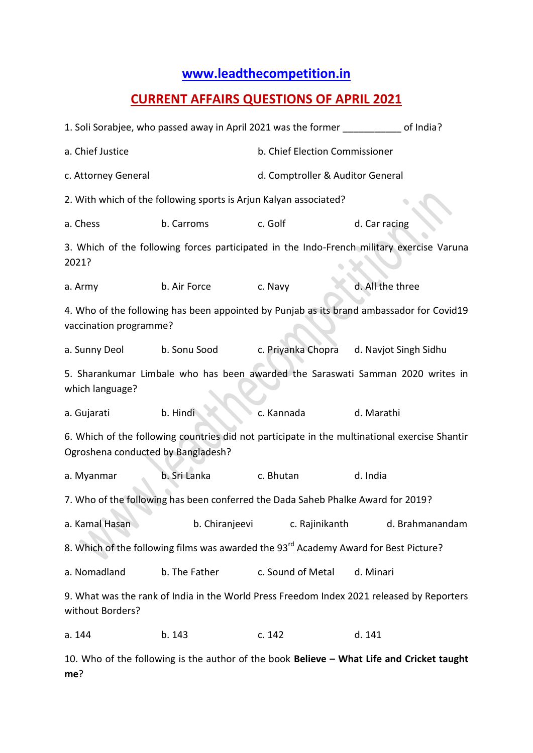## **[www.leadthecompetition.in](http://www.leadthecompetition.in/)**

## **CURRENT AFFAIRS QUESTIONS OF APRIL 2021**

| 1. Soli Sorabjee, who passed away in April 2021 was the former of India?                                                            |                |                                  |                       |  |  |  |  |
|-------------------------------------------------------------------------------------------------------------------------------------|----------------|----------------------------------|-----------------------|--|--|--|--|
| a. Chief Justice                                                                                                                    |                | b. Chief Election Commissioner   |                       |  |  |  |  |
| c. Attorney General                                                                                                                 |                | d. Comptroller & Auditor General |                       |  |  |  |  |
| 2. With which of the following sports is Arjun Kalyan associated?                                                                   |                |                                  |                       |  |  |  |  |
| a. Chess                                                                                                                            | b. Carroms     | c. Golf                          | d. Car racing         |  |  |  |  |
| 3. Which of the following forces participated in the Indo-French military exercise Varuna<br>2021?                                  |                |                                  |                       |  |  |  |  |
| a. Army                                                                                                                             | b. Air Force   | c. Navy                          | d. All the three      |  |  |  |  |
| 4. Who of the following has been appointed by Punjab as its brand ambassador for Covid19<br>vaccination programme?                  |                |                                  |                       |  |  |  |  |
| a. Sunny Deol                                                                                                                       | b. Sonu Sood   | c. Priyanka Chopra               | d. Navjot Singh Sidhu |  |  |  |  |
| 5. Sharankumar Limbale who has been awarded the Saraswati Samman 2020 writes in<br>which language?                                  |                |                                  |                       |  |  |  |  |
| a. Gujarati                                                                                                                         | b. Hindi       | c. Kannada                       | d. Marathi            |  |  |  |  |
| 6. Which of the following countries did not participate in the multinational exercise Shantir<br>Ogroshena conducted by Bangladesh? |                |                                  |                       |  |  |  |  |
| a. Myanmar                                                                                                                          | b. Sri Lanka   | c. Bhutan<br>d. India            |                       |  |  |  |  |
| 7. Who of the following has been conferred the Dada Saheb Phalke Award for 2019?                                                    |                |                                  |                       |  |  |  |  |
| a. Kamal Hasan                                                                                                                      | b. Chiranjeevi | c. Rajinikanth                   | d. Brahmanandam       |  |  |  |  |
| 8. Which of the following films was awarded the 93 <sup>rd</sup> Academy Award for Best Picture?                                    |                |                                  |                       |  |  |  |  |
| a. Nomadland                                                                                                                        | b. The Father  | c. Sound of Metal                | d. Minari             |  |  |  |  |
| 9. What was the rank of India in the World Press Freedom Index 2021 released by Reporters<br>without Borders?                       |                |                                  |                       |  |  |  |  |
| a. 144                                                                                                                              | b. 143         | c. 142                           | d. 141                |  |  |  |  |

10. Who of the following is the author of the book **Believe – What Life and Cricket taught me**?